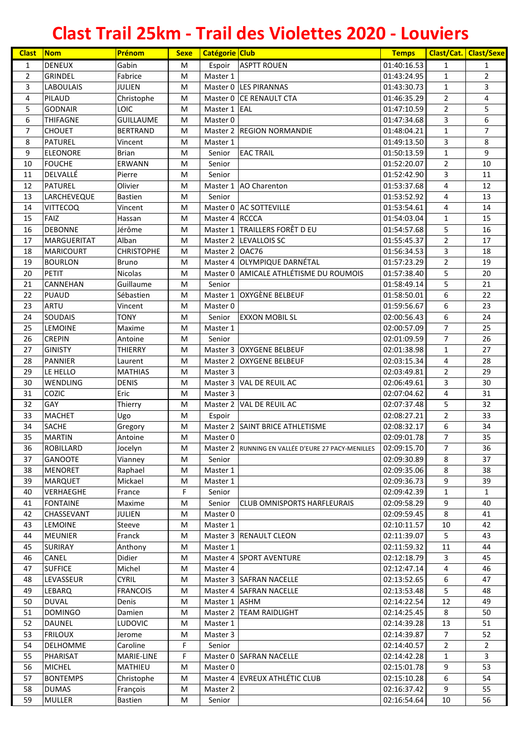| <b>Clast</b>   | <b>Nom</b>         | Prénom            | <b>Sexe</b> | Catégorie Club |                                                    | <b>Temps</b> |                | <b>Clast/Cat. Clast/Sexe</b> |
|----------------|--------------------|-------------------|-------------|----------------|----------------------------------------------------|--------------|----------------|------------------------------|
| 1              | <b>DENEUX</b>      | Gabin             | M           | Espoir         | <b>ASPTT ROUEN</b>                                 | 01:40:16.53  | $\mathbf{1}$   | $\mathbf{1}$                 |
| $\overline{2}$ | <b>GRINDEL</b>     | Fabrice           | M           | Master 1       |                                                    | 01:43:24.95  | $\mathbf{1}$   | $\overline{2}$               |
| 3              | <b>LABOULAIS</b>   | <b>JULIEN</b>     | M           |                | Master 0 LES PIRANNAS                              | 01:43:30.73  | $\mathbf{1}$   | 3                            |
| 4              | <b>PILAUD</b>      | Christophe        | M           |                | Master 0 CE RENAULT CTA                            | 01:46:35.29  | $\overline{2}$ | 4                            |
| 5              | <b>GODNAIR</b>     | <b>LOIC</b>       | M           | Master 1 EAL   |                                                    | 01:47:10.59  | $\overline{2}$ | 5                            |
| 6              | <b>THIFAGNE</b>    | <b>GUILLAUME</b>  | М           | Master 0       |                                                    | 01:47:34.68  | 3              | 6                            |
| $\overline{7}$ | <b>CHOUET</b>      | <b>BERTRAND</b>   | м           |                | Master 2 REGION NORMANDIE                          | 01:48:04.21  | $\mathbf{1}$   | $\overline{7}$               |
| 8              | <b>PATUREL</b>     | Vincent           | M           | Master 1       |                                                    | 01:49:13.50  | 3              | 8                            |
| 9              | <b>ELEONORE</b>    | <b>Brian</b>      | М           | Senior         | <b>EAC TRAIL</b>                                   | 01:50:13.59  | 1              | 9                            |
| 10             | <b>FOUCHE</b>      | ERWANN            | М           | Senior         |                                                    | 01:52:20.07  | $\overline{2}$ | 10                           |
| 11             | DELVALLÉ           | Pierre            | М           | Senior         |                                                    | 01:52:42.90  | 3              | 11                           |
| 12             | <b>PATUREL</b>     | Olivier           | М           |                | Master 1 AO Charenton                              | 01:53:37.68  | 4              | 12                           |
| 13             | LARCHEVEQUE        | <b>Bastien</b>    | M           | Senior         |                                                    | 01:53:52.92  | 4              | 13                           |
| 14             | <b>VITTECOQ</b>    | Vincent           | M           |                | Master 0 AC SOTTEVILLE                             | 01:53:54.61  | 4              | 14                           |
| 15             | FAIZ               | Hassan            | M           | Master 4 RCCCA |                                                    | 01:54:03.04  | 1              | 15                           |
| 16             | <b>DEBONNE</b>     | Jérôme            | M           |                | Master 1 TRAILLERS FORÊT D EU                      | 01:54:57.68  | 5              | 16                           |
| 17             | <b>MARGUERITAT</b> | Alban             | м           |                | Master 2 LEVALLOIS SC                              | 01:55:45.37  | $\overline{2}$ | 17                           |
| 18             | <b>MARICOURT</b>   | <b>CHRISTOPHE</b> | M           | Master 2 OAC76 |                                                    | 01:56:34.53  | 3              | 18                           |
| 19             | <b>BOURLON</b>     | <b>Bruno</b>      | M           |                | Master 4 OLYMPIQUE DARNÉTAL                        | 01:57:23.29  | $\overline{2}$ | 19                           |
| 20             | PETIT              | Nicolas           | M           |                | Master 0 AMICALE ATHLÉTISME DU ROUMOIS             | 01:57:38.40  | 5              | 20                           |
| 21             | CANNEHAN           | Guillaume         | M           | Senior         |                                                    | 01:58:49.14  | 5              | 21                           |
| 22             | <b>PUAUD</b>       | Sébastien         | М           |                | Master 1 OXYGÈNE BELBEUF                           | 01:58:50.01  | 6              | 22                           |
| 23             | ARTU               | Vincent           | М           | Master 0       |                                                    | 01:59:56.67  | 6              | 23                           |
| 24             | <b>SOUDAIS</b>     | <b>TONY</b>       | М           | Senior         | <b>EXXON MOBIL SL</b>                              | 02:00:56.43  | 6              | 24                           |
| 25             | <b>LEMOINE</b>     | Maxime            | M           | Master 1       |                                                    | 02:00:57.09  | $\overline{7}$ | 25                           |
| 26             | <b>CREPIN</b>      | Antoine           | M           | Senior         |                                                    | 02:01:09.59  | $\overline{7}$ | 26                           |
| 27             | <b>GINISTY</b>     | THIERRY           | M           |                | Master 3 OXYGENE BELBEUF                           | 02:01:38.98  | $\mathbf{1}$   | 27                           |
| 28             | <b>PANNIER</b>     | Laurent           | M           |                | Master 2 OXYGENE BELBEUF                           | 02:03:15.34  | 4              | 28                           |
| 29             | LE HELLO           | <b>MATHIAS</b>    | M           | Master 3       |                                                    | 02:03:49.81  | $\overline{2}$ | 29                           |
| 30             | <b>WENDLING</b>    | <b>DENIS</b>      | M           | Master 3       | VAL DE REUIL AC                                    | 02:06:49.61  | 3              | 30                           |
| 31             | COZIC              | Eric              | М           | Master 3       |                                                    | 02:07:04.62  | 4              | 31                           |
| 32             | <b>GAY</b>         | Thierry           | м           |                | Master 2 VAL DE REUIL AC                           | 02:07:37.48  | 5              | 32                           |
| 33             | <b>MACHET</b>      | Ugo               | М           | Espoir         |                                                    | 02:08:27.21  | $\overline{2}$ | 33                           |
| 34             | <b>SACHE</b>       | Gregory           | М           | Master 2       | <b>SAINT BRICE ATHLETISME</b>                      | 02:08:32.17  | 6              | 34                           |
| 35             | <b>MARTIN</b>      | Antoine           | м           | Master 0       |                                                    | 02:09:01.78  | $\overline{7}$ | 35                           |
| 36             | <b>ROBILLARD</b>   | Jocelyn           | М           |                | Master 2 RUNNING EN VALLÉE D'EURE 27 PACY-MENILLES | 02:09:15.70  | 7              | 36                           |
| 37             | <b>GANOOTE</b>     | Vianney           | M           | Senior         |                                                    | 02:09:30.89  | 8              | 37                           |
| 38             | <b>MENORET</b>     | Raphael           | M           | Master 1       |                                                    | 02:09:35.06  | 8              | 38                           |
| 39             | <b>MARQUET</b>     | Mickael           | M           | Master 1       |                                                    | 02:09:36.73  | 9              | 39                           |
| 40             | <b>VERHAEGHE</b>   | France            | F           | Senior         |                                                    | 02:09:42.39  | 1              | $\mathbf{1}$                 |
| 41             | <b>FONTAINE</b>    | Maxime            | M           | Senior         | <b>CLUB OMNISPORTS HARFLEURAIS</b>                 | 02:09:58.29  | 9              | 40                           |
| 42             | CHASSEVANT         | JULIEN            | М           | Master 0       |                                                    | 02:09:59.45  | 8              | 41                           |
| 43             | <b>LEMOINE</b>     | Steeve            | М           | Master 1       |                                                    | 02:10:11.57  | 10             | 42                           |
| 44             | <b>MEUNIER</b>     | Franck            | М           |                | Master 3 RENAULT CLEON                             | 02:11:39.07  | 5              | 43                           |
| 45             | <b>SURIRAY</b>     | Anthony           | M           | Master 1       |                                                    | 02:11:59.32  | 11             | 44                           |
| 46             | CANEL              | Didier            | М           |                | Master 4 SPORT AVENTURE                            | 02:12:18.79  | 3              | 45                           |
| 47             | <b>SUFFICE</b>     | Michel            | M           | Master 4       |                                                    | 02:12:47.14  | 4              | 46                           |
| 48             | LEVASSEUR          | <b>CYRIL</b>      | M           |                | Master 3 SAFRAN NACELLE                            | 02:13:52.65  | 6              | 47                           |
| 49             | <b>LEBARQ</b>      | <b>FRANCOIS</b>   | M           |                | Master 4 SAFRAN NACELLE                            | 02:13:53.48  | 5              | 48                           |
| 50             | <b>DUVAL</b>       | Denis             | M           | Master 1 ASHM  |                                                    | 02:14:22.54  | 12             | 49                           |
| 51             | <b>DOMINGO</b>     | Damien            | M           |                | Master 2 TEAM RAIDLIGHT                            | 02:14:25.45  | 8              | 50                           |
| 52             | <b>DAUNEL</b>      | LUDOVIC           | M           | Master 1       |                                                    | 02:14:39.28  | 13             | 51                           |
| 53             | <b>FRILOUX</b>     | Jerome            | M           | Master 3       |                                                    | 02:14:39.87  | $\overline{7}$ | 52                           |
| 54             | <b>DELHOMME</b>    | Caroline          | F           | Senior         |                                                    | 02:14:40.57  | $\overline{2}$ | $\overline{2}$               |
| 55             | PHARISAT           | MARIE-LINE        | F           | Master 0       | <b>SAFRAN NACELLE</b>                              | 02:14:42.28  | 1              | 3                            |
| 56             | <b>MICHEL</b>      | MATHIEU           | M           | Master 0       |                                                    | 02:15:01.78  | 9              | 53                           |
| 57             | <b>BONTEMPS</b>    | Christophe        | М           |                | Master 4 EVREUX ATHLÉTIC CLUB                      | 02:15:10.28  | 6              | 54                           |
| 58             | <b>DUMAS</b>       | François          | M           | Master 2       |                                                    | 02:16:37.42  | 9              | 55                           |
| 59             | <b>MULLER</b>      | Bastien           | M           | Senior         |                                                    | 02:16:54.64  | 10             | 56                           |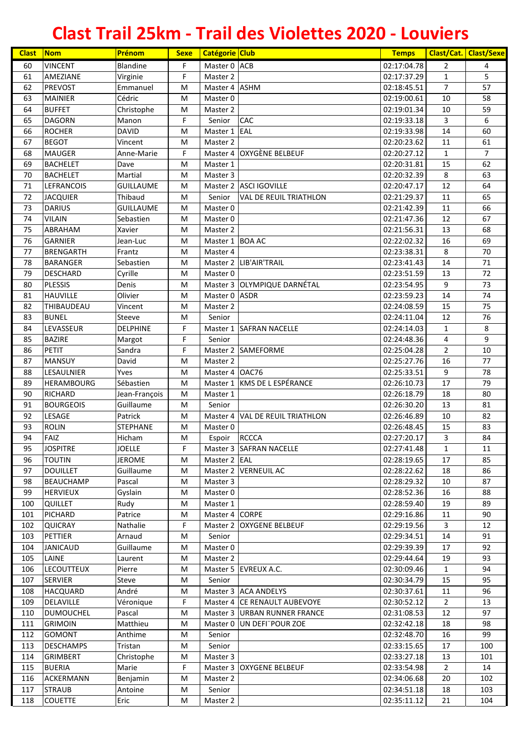| <b>VINCENT</b><br>Blandine<br>F.<br>Master 0 ACB<br>02:17:04.78<br>60<br>$\overline{2}$<br>4<br>F<br>5<br>61<br>AMEZIANE<br>02:17:37.29<br>Virginie<br>Master 2<br>1<br>$\overline{7}$<br>57<br>62<br>Emmanuel<br>M<br>Master 4 ASHM<br>02:18:45.51<br><b>PREVOST</b><br>Cédric<br>63<br>02:19:00.61<br>10<br>58<br><b>MAINIER</b><br>M<br>Master 0<br>59<br>64<br>Christophe<br>10<br><b>BUFFET</b><br>M<br>Master 2<br>02:19:01.34<br>F<br><b>CAC</b><br>6<br>65<br><b>DAGORN</b><br>02:19:33.18<br>3<br>Manon<br>Senior<br>60<br>66<br><b>DAVID</b><br>EAL<br>14<br><b>ROCHER</b><br>M<br>Master 1<br>02:19:33.98<br>67<br><b>BEGOT</b><br>61<br>Vincent<br>M<br>Master 2<br>02:20:23.62<br>11<br>68<br>F<br><b>OXYGÈNE BELBEUF</b><br>$\overline{7}$<br><b>MAUGER</b><br>Anne-Marie<br>Master 4<br>02:20:27.12<br>1<br>62<br>69<br><b>BACHELET</b><br>Dave<br>M<br>Master 1<br>02:20:31.81<br>15<br>63<br>70<br><b>BACHELET</b><br>Martial<br>Master 3<br>02:20:32.39<br>8<br>M<br>71<br>64<br><b>LEFRANCOIS</b><br><b>GUILLAUME</b><br>M<br>Master 2 ASCI IGOVILLE<br>02:20:47.17<br>12<br>72<br>65<br><b>JACQUIER</b><br>Thibaud<br>M<br>Senior<br><b>VAL DE REUIL TRIATHLON</b><br>02:21:29.37<br>11<br>73<br>66<br><b>DARIUS</b><br><b>GUILLAUME</b><br>M<br>Master 0<br>02:21:42.39<br>11<br>74<br>67<br><b>VILAIN</b><br>M<br>02:21:47.36<br>12<br>Sebastien<br>Master 0<br>68<br>75<br>Xavier<br>02:21:56.31<br>13<br>ABRAHAM<br>M<br>Master 2<br>16<br>69<br>76<br>Jean-Luc<br>Master 1 BOA AC<br>02:22:02.32<br><b>GARNIER</b><br>M<br>70<br>77<br>Master 4<br>8<br><b>BRENGARTH</b><br>Frantz<br>M<br>02:23:38.31<br>$71\,$<br>78<br>Sebastien<br>M<br>Master 2 LIB'AIR'TRAIL<br>14<br><b>BARANGER</b><br>02:23:41.43<br>79<br>72<br>Cyrille<br>02:23:51.59<br>13<br><b>DESCHARD</b><br>M<br>Master 0<br>73<br>80<br><b>PLESSIS</b><br>Master 3 OLYMPIQUE DARNÉTAL<br>9<br>Denis<br>M<br>02:23:54.95<br>Olivier<br>74<br>81<br><b>HAUVILLE</b><br><b>ASDR</b><br>14<br>М<br>Master 0<br>02:23:59.23<br>75<br>82<br>THIBAUDEAU<br>Vincent<br>Master 2<br>02:24:08.59<br>15<br>М<br>76<br>83<br><b>BUNEL</b><br>Senior<br>02:24:11.04<br>12<br>Steeve<br>M<br><b>DELPHINE</b><br>F.<br>8<br>84<br>LEVASSEUR<br>Master 1 SAFRAN NACELLE<br>02:24:14.03<br>$\mathbf{1}$<br>9<br>F<br>85<br><b>BAZIRE</b><br>Senior<br>02:24:48.36<br>4<br>Margot<br>F<br>10<br>86<br><b>PETIT</b><br>Sandra<br>SAMEFORME<br>02:25:04.28<br>$\overline{2}$<br>Master 2<br>77<br>87<br><b>MANSUY</b><br>David<br>M<br>16<br>Master 2<br>02:25:27.76<br>9<br>78<br>88<br>LESAULNIER<br>Yves<br>Master 4 OAC76<br>02:25:33.51<br>M<br>Master 1 KMS DE L ESPÉRANCE<br>79<br>89<br>Sébastien<br>17<br><b>HERAMBOURG</b><br>M<br>02:26:10.73<br>80<br>90<br><b>RICHARD</b><br>02:26:18.79<br>18<br>Jean-François<br>M<br>Master 1<br>Guillaume<br>81<br>91<br><b>BOURGEOIS</b><br>M<br>Senior<br>02:26:30.20<br>13<br>92<br><b>LESAGE</b><br>Patrick<br>02:26:46.89<br>82<br>Master 4   VAL DE REUIL TRIATHLON<br>10<br>М<br>93<br>83<br><b>ROLIN</b><br>STEPHANE<br>М<br>02:26:48.45<br>15<br>Master 0<br>94<br>FAIZ<br>02:27:20.17<br>3<br>Hicham<br>Espoir RCCCA<br>84<br>M<br>F<br>02:27:41.48<br>95<br><b>JOSPITRE</b><br><b>JOELLE</b><br>Master 3 SAFRAN NACELLE<br>1<br>11<br><b>TOUTIN</b><br><b>JEROME</b><br>Master 2 EAL<br>02:28:19.65<br>85<br>96<br>17<br>М<br><b>DOUILLET</b><br>Guillaume<br>Master 2 VERNEUIL AC<br>02:28:22.62<br>86<br>97<br>M<br>18<br>02:28:29.32<br>98<br><b>BEAUCHAMP</b><br>Pascal<br>87<br>M<br>Master 3<br>10<br>99<br><b>HERVIEUX</b><br>Gyslain<br>02:28:52.36<br>16<br>88<br>М<br>Master 0<br>89<br>100<br><b>QUILLET</b><br>Rudy<br>02:28:59.40<br>19<br>М<br>Master 1<br>90<br>101<br><b>PICHARD</b><br>Patrice<br>Master 4 CORPE<br>02:29:16.86<br>11<br>M<br>F<br>12<br>102<br><b>QUICRAY</b><br>Nathalie<br>Master 2 OXYGENE BELBEUF<br>02:29:19.56<br>3<br>103<br>PETTIER<br>Arnaud<br>02:29:34.51<br>14<br>91<br>М<br>Senior<br>Guillaume<br>02:29:39.39<br>92<br>104<br><b>JANICAUD</b><br>Master 0<br>17<br>М<br>LAINE<br>02:29:44.64<br>93<br>105<br>Laurent<br>Master 2<br>19<br>M<br><b>LECOUTTEUX</b><br>106<br>Pierre<br>Master 5 EVREUX A.C.<br>02:30:09.46<br>94<br>M<br>$\mathbf{1}$<br>02:30:34.79<br>95<br>107<br><b>SERVIER</b><br>Steve<br>Senior<br>15<br>M<br>02:30:37.61<br>96<br>108<br><b>HACQUARD</b><br>André<br>Master 3 ACA ANDELYS<br>M<br>11<br>F<br>DELAVILLE<br>Master 4 CE RENAULT AUBEVOYE<br>02:30:52.12<br>13<br>109<br>Véronique<br>$\overline{2}$<br><b>DUMOUCHEL</b><br>97<br>110<br>Pascal<br>M<br>Master 3 URBAN RUNNER FRANCE<br>02:31:08.53<br>12<br>98<br><b>GRIMOIN</b><br>Matthieu<br>UN DEFI"POUR ZOE<br>02:32:42.18<br>18<br>111<br>M<br>Master 0<br>99<br>112<br><b>GOMONT</b><br>Anthime<br>02:32:48.70<br>16<br>M<br>Senior<br>02:33:15.65<br>100<br>113<br><b>DESCHAMPS</b><br>Tristan<br>Senior<br>17<br>М<br>114<br>Master 3<br>02:33:27.18<br>101<br><b>GRIMBERT</b><br>Christophe<br>13<br>М<br><b>BUERIA</b><br>F<br>14<br>115<br>Marie<br>Master 3 OXYGENE BELBEUF<br>02:33:54.98<br>$\mathbf{2}$<br>ACKERMANN<br>02:34:06.68<br>102<br>116<br>Benjamin<br>Master 2<br>20<br>М<br>117<br><b>STRAUB</b><br>Antoine<br>02:34:51.18<br>103<br>Senior<br>18<br>M | <b>Clast</b> | Nom            | Prénom | <b>Sexe</b> | <b>Catégorie Club</b> | <b>Temps</b> |    | <b>Clast/Cat. Clast/Sexe</b> |
|-----------------------------------------------------------------------------------------------------------------------------------------------------------------------------------------------------------------------------------------------------------------------------------------------------------------------------------------------------------------------------------------------------------------------------------------------------------------------------------------------------------------------------------------------------------------------------------------------------------------------------------------------------------------------------------------------------------------------------------------------------------------------------------------------------------------------------------------------------------------------------------------------------------------------------------------------------------------------------------------------------------------------------------------------------------------------------------------------------------------------------------------------------------------------------------------------------------------------------------------------------------------------------------------------------------------------------------------------------------------------------------------------------------------------------------------------------------------------------------------------------------------------------------------------------------------------------------------------------------------------------------------------------------------------------------------------------------------------------------------------------------------------------------------------------------------------------------------------------------------------------------------------------------------------------------------------------------------------------------------------------------------------------------------------------------------------------------------------------------------------------------------------------------------------------------------------------------------------------------------------------------------------------------------------------------------------------------------------------------------------------------------------------------------------------------------------------------------------------------------------------------------------------------------------------------------------------------------------------------------------------------------------------------------------------------------------------------------------------------------------------------------------------------------------------------------------------------------------------------------------------------------------------------------------------------------------------------------------------------------------------------------------------------------------------------------------------------------------------------------------------------------------------------------------------------------------------------------------------------------------------------------------------------------------------------------------------------------------------------------------------------------------------------------------------------------------------------------------------------------------------------------------------------------------------------------------------------------------------------------------------------------------------------------------------------------------------------------------------------------------------------------------------------------------------------------------------------------------------------------------------------------------------------------------------------------------------------------------------------------------------------------------------------------------------------------------------------------------------------------------------------------------------------------------------------------------------------------------------------------------------------------------------------------------------------------------------------------------------------------------------------------------------------------------------------------------------------------------------------------------------------------------------------------------------------------------------------------------------------------------------------------------------------------------------------------------------------------------------------------------------------------------------------------------------------------------------------------------------------------------------------------------------------------------------------------------------------------------------------------------------------------------------------------------------------------------------------------------------------------------------------------------------------------------------------------------------------------------------------------------------------|--------------|----------------|--------|-------------|-----------------------|--------------|----|------------------------------|
|                                                                                                                                                                                                                                                                                                                                                                                                                                                                                                                                                                                                                                                                                                                                                                                                                                                                                                                                                                                                                                                                                                                                                                                                                                                                                                                                                                                                                                                                                                                                                                                                                                                                                                                                                                                                                                                                                                                                                                                                                                                                                                                                                                                                                                                                                                                                                                                                                                                                                                                                                                                                                                                                                                                                                                                                                                                                                                                                                                                                                                                                                                                                                                                                                                                                                                                                                                                                                                                                                                                                                                                                                                                                                                                                                                                                                                                                                                                                                                                                                                                                                                                                                                                                                                                                                                                                                                                                                                                                                                                                                                                                                                                                                                                                                                                                                                                                                                                                                                                                                                                                                                                                                                                                                                                           |              |                |        |             |                       |              |    |                              |
|                                                                                                                                                                                                                                                                                                                                                                                                                                                                                                                                                                                                                                                                                                                                                                                                                                                                                                                                                                                                                                                                                                                                                                                                                                                                                                                                                                                                                                                                                                                                                                                                                                                                                                                                                                                                                                                                                                                                                                                                                                                                                                                                                                                                                                                                                                                                                                                                                                                                                                                                                                                                                                                                                                                                                                                                                                                                                                                                                                                                                                                                                                                                                                                                                                                                                                                                                                                                                                                                                                                                                                                                                                                                                                                                                                                                                                                                                                                                                                                                                                                                                                                                                                                                                                                                                                                                                                                                                                                                                                                                                                                                                                                                                                                                                                                                                                                                                                                                                                                                                                                                                                                                                                                                                                                           |              |                |        |             |                       |              |    |                              |
|                                                                                                                                                                                                                                                                                                                                                                                                                                                                                                                                                                                                                                                                                                                                                                                                                                                                                                                                                                                                                                                                                                                                                                                                                                                                                                                                                                                                                                                                                                                                                                                                                                                                                                                                                                                                                                                                                                                                                                                                                                                                                                                                                                                                                                                                                                                                                                                                                                                                                                                                                                                                                                                                                                                                                                                                                                                                                                                                                                                                                                                                                                                                                                                                                                                                                                                                                                                                                                                                                                                                                                                                                                                                                                                                                                                                                                                                                                                                                                                                                                                                                                                                                                                                                                                                                                                                                                                                                                                                                                                                                                                                                                                                                                                                                                                                                                                                                                                                                                                                                                                                                                                                                                                                                                                           |              |                |        |             |                       |              |    |                              |
|                                                                                                                                                                                                                                                                                                                                                                                                                                                                                                                                                                                                                                                                                                                                                                                                                                                                                                                                                                                                                                                                                                                                                                                                                                                                                                                                                                                                                                                                                                                                                                                                                                                                                                                                                                                                                                                                                                                                                                                                                                                                                                                                                                                                                                                                                                                                                                                                                                                                                                                                                                                                                                                                                                                                                                                                                                                                                                                                                                                                                                                                                                                                                                                                                                                                                                                                                                                                                                                                                                                                                                                                                                                                                                                                                                                                                                                                                                                                                                                                                                                                                                                                                                                                                                                                                                                                                                                                                                                                                                                                                                                                                                                                                                                                                                                                                                                                                                                                                                                                                                                                                                                                                                                                                                                           |              |                |        |             |                       |              |    |                              |
|                                                                                                                                                                                                                                                                                                                                                                                                                                                                                                                                                                                                                                                                                                                                                                                                                                                                                                                                                                                                                                                                                                                                                                                                                                                                                                                                                                                                                                                                                                                                                                                                                                                                                                                                                                                                                                                                                                                                                                                                                                                                                                                                                                                                                                                                                                                                                                                                                                                                                                                                                                                                                                                                                                                                                                                                                                                                                                                                                                                                                                                                                                                                                                                                                                                                                                                                                                                                                                                                                                                                                                                                                                                                                                                                                                                                                                                                                                                                                                                                                                                                                                                                                                                                                                                                                                                                                                                                                                                                                                                                                                                                                                                                                                                                                                                                                                                                                                                                                                                                                                                                                                                                                                                                                                                           |              |                |        |             |                       |              |    |                              |
|                                                                                                                                                                                                                                                                                                                                                                                                                                                                                                                                                                                                                                                                                                                                                                                                                                                                                                                                                                                                                                                                                                                                                                                                                                                                                                                                                                                                                                                                                                                                                                                                                                                                                                                                                                                                                                                                                                                                                                                                                                                                                                                                                                                                                                                                                                                                                                                                                                                                                                                                                                                                                                                                                                                                                                                                                                                                                                                                                                                                                                                                                                                                                                                                                                                                                                                                                                                                                                                                                                                                                                                                                                                                                                                                                                                                                                                                                                                                                                                                                                                                                                                                                                                                                                                                                                                                                                                                                                                                                                                                                                                                                                                                                                                                                                                                                                                                                                                                                                                                                                                                                                                                                                                                                                                           |              |                |        |             |                       |              |    |                              |
|                                                                                                                                                                                                                                                                                                                                                                                                                                                                                                                                                                                                                                                                                                                                                                                                                                                                                                                                                                                                                                                                                                                                                                                                                                                                                                                                                                                                                                                                                                                                                                                                                                                                                                                                                                                                                                                                                                                                                                                                                                                                                                                                                                                                                                                                                                                                                                                                                                                                                                                                                                                                                                                                                                                                                                                                                                                                                                                                                                                                                                                                                                                                                                                                                                                                                                                                                                                                                                                                                                                                                                                                                                                                                                                                                                                                                                                                                                                                                                                                                                                                                                                                                                                                                                                                                                                                                                                                                                                                                                                                                                                                                                                                                                                                                                                                                                                                                                                                                                                                                                                                                                                                                                                                                                                           |              |                |        |             |                       |              |    |                              |
|                                                                                                                                                                                                                                                                                                                                                                                                                                                                                                                                                                                                                                                                                                                                                                                                                                                                                                                                                                                                                                                                                                                                                                                                                                                                                                                                                                                                                                                                                                                                                                                                                                                                                                                                                                                                                                                                                                                                                                                                                                                                                                                                                                                                                                                                                                                                                                                                                                                                                                                                                                                                                                                                                                                                                                                                                                                                                                                                                                                                                                                                                                                                                                                                                                                                                                                                                                                                                                                                                                                                                                                                                                                                                                                                                                                                                                                                                                                                                                                                                                                                                                                                                                                                                                                                                                                                                                                                                                                                                                                                                                                                                                                                                                                                                                                                                                                                                                                                                                                                                                                                                                                                                                                                                                                           |              |                |        |             |                       |              |    |                              |
|                                                                                                                                                                                                                                                                                                                                                                                                                                                                                                                                                                                                                                                                                                                                                                                                                                                                                                                                                                                                                                                                                                                                                                                                                                                                                                                                                                                                                                                                                                                                                                                                                                                                                                                                                                                                                                                                                                                                                                                                                                                                                                                                                                                                                                                                                                                                                                                                                                                                                                                                                                                                                                                                                                                                                                                                                                                                                                                                                                                                                                                                                                                                                                                                                                                                                                                                                                                                                                                                                                                                                                                                                                                                                                                                                                                                                                                                                                                                                                                                                                                                                                                                                                                                                                                                                                                                                                                                                                                                                                                                                                                                                                                                                                                                                                                                                                                                                                                                                                                                                                                                                                                                                                                                                                                           |              |                |        |             |                       |              |    |                              |
|                                                                                                                                                                                                                                                                                                                                                                                                                                                                                                                                                                                                                                                                                                                                                                                                                                                                                                                                                                                                                                                                                                                                                                                                                                                                                                                                                                                                                                                                                                                                                                                                                                                                                                                                                                                                                                                                                                                                                                                                                                                                                                                                                                                                                                                                                                                                                                                                                                                                                                                                                                                                                                                                                                                                                                                                                                                                                                                                                                                                                                                                                                                                                                                                                                                                                                                                                                                                                                                                                                                                                                                                                                                                                                                                                                                                                                                                                                                                                                                                                                                                                                                                                                                                                                                                                                                                                                                                                                                                                                                                                                                                                                                                                                                                                                                                                                                                                                                                                                                                                                                                                                                                                                                                                                                           |              |                |        |             |                       |              |    |                              |
|                                                                                                                                                                                                                                                                                                                                                                                                                                                                                                                                                                                                                                                                                                                                                                                                                                                                                                                                                                                                                                                                                                                                                                                                                                                                                                                                                                                                                                                                                                                                                                                                                                                                                                                                                                                                                                                                                                                                                                                                                                                                                                                                                                                                                                                                                                                                                                                                                                                                                                                                                                                                                                                                                                                                                                                                                                                                                                                                                                                                                                                                                                                                                                                                                                                                                                                                                                                                                                                                                                                                                                                                                                                                                                                                                                                                                                                                                                                                                                                                                                                                                                                                                                                                                                                                                                                                                                                                                                                                                                                                                                                                                                                                                                                                                                                                                                                                                                                                                                                                                                                                                                                                                                                                                                                           |              |                |        |             |                       |              |    |                              |
|                                                                                                                                                                                                                                                                                                                                                                                                                                                                                                                                                                                                                                                                                                                                                                                                                                                                                                                                                                                                                                                                                                                                                                                                                                                                                                                                                                                                                                                                                                                                                                                                                                                                                                                                                                                                                                                                                                                                                                                                                                                                                                                                                                                                                                                                                                                                                                                                                                                                                                                                                                                                                                                                                                                                                                                                                                                                                                                                                                                                                                                                                                                                                                                                                                                                                                                                                                                                                                                                                                                                                                                                                                                                                                                                                                                                                                                                                                                                                                                                                                                                                                                                                                                                                                                                                                                                                                                                                                                                                                                                                                                                                                                                                                                                                                                                                                                                                                                                                                                                                                                                                                                                                                                                                                                           |              |                |        |             |                       |              |    |                              |
|                                                                                                                                                                                                                                                                                                                                                                                                                                                                                                                                                                                                                                                                                                                                                                                                                                                                                                                                                                                                                                                                                                                                                                                                                                                                                                                                                                                                                                                                                                                                                                                                                                                                                                                                                                                                                                                                                                                                                                                                                                                                                                                                                                                                                                                                                                                                                                                                                                                                                                                                                                                                                                                                                                                                                                                                                                                                                                                                                                                                                                                                                                                                                                                                                                                                                                                                                                                                                                                                                                                                                                                                                                                                                                                                                                                                                                                                                                                                                                                                                                                                                                                                                                                                                                                                                                                                                                                                                                                                                                                                                                                                                                                                                                                                                                                                                                                                                                                                                                                                                                                                                                                                                                                                                                                           |              |                |        |             |                       |              |    |                              |
|                                                                                                                                                                                                                                                                                                                                                                                                                                                                                                                                                                                                                                                                                                                                                                                                                                                                                                                                                                                                                                                                                                                                                                                                                                                                                                                                                                                                                                                                                                                                                                                                                                                                                                                                                                                                                                                                                                                                                                                                                                                                                                                                                                                                                                                                                                                                                                                                                                                                                                                                                                                                                                                                                                                                                                                                                                                                                                                                                                                                                                                                                                                                                                                                                                                                                                                                                                                                                                                                                                                                                                                                                                                                                                                                                                                                                                                                                                                                                                                                                                                                                                                                                                                                                                                                                                                                                                                                                                                                                                                                                                                                                                                                                                                                                                                                                                                                                                                                                                                                                                                                                                                                                                                                                                                           |              |                |        |             |                       |              |    |                              |
|                                                                                                                                                                                                                                                                                                                                                                                                                                                                                                                                                                                                                                                                                                                                                                                                                                                                                                                                                                                                                                                                                                                                                                                                                                                                                                                                                                                                                                                                                                                                                                                                                                                                                                                                                                                                                                                                                                                                                                                                                                                                                                                                                                                                                                                                                                                                                                                                                                                                                                                                                                                                                                                                                                                                                                                                                                                                                                                                                                                                                                                                                                                                                                                                                                                                                                                                                                                                                                                                                                                                                                                                                                                                                                                                                                                                                                                                                                                                                                                                                                                                                                                                                                                                                                                                                                                                                                                                                                                                                                                                                                                                                                                                                                                                                                                                                                                                                                                                                                                                                                                                                                                                                                                                                                                           |              |                |        |             |                       |              |    |                              |
|                                                                                                                                                                                                                                                                                                                                                                                                                                                                                                                                                                                                                                                                                                                                                                                                                                                                                                                                                                                                                                                                                                                                                                                                                                                                                                                                                                                                                                                                                                                                                                                                                                                                                                                                                                                                                                                                                                                                                                                                                                                                                                                                                                                                                                                                                                                                                                                                                                                                                                                                                                                                                                                                                                                                                                                                                                                                                                                                                                                                                                                                                                                                                                                                                                                                                                                                                                                                                                                                                                                                                                                                                                                                                                                                                                                                                                                                                                                                                                                                                                                                                                                                                                                                                                                                                                                                                                                                                                                                                                                                                                                                                                                                                                                                                                                                                                                                                                                                                                                                                                                                                                                                                                                                                                                           |              |                |        |             |                       |              |    |                              |
|                                                                                                                                                                                                                                                                                                                                                                                                                                                                                                                                                                                                                                                                                                                                                                                                                                                                                                                                                                                                                                                                                                                                                                                                                                                                                                                                                                                                                                                                                                                                                                                                                                                                                                                                                                                                                                                                                                                                                                                                                                                                                                                                                                                                                                                                                                                                                                                                                                                                                                                                                                                                                                                                                                                                                                                                                                                                                                                                                                                                                                                                                                                                                                                                                                                                                                                                                                                                                                                                                                                                                                                                                                                                                                                                                                                                                                                                                                                                                                                                                                                                                                                                                                                                                                                                                                                                                                                                                                                                                                                                                                                                                                                                                                                                                                                                                                                                                                                                                                                                                                                                                                                                                                                                                                                           |              |                |        |             |                       |              |    |                              |
|                                                                                                                                                                                                                                                                                                                                                                                                                                                                                                                                                                                                                                                                                                                                                                                                                                                                                                                                                                                                                                                                                                                                                                                                                                                                                                                                                                                                                                                                                                                                                                                                                                                                                                                                                                                                                                                                                                                                                                                                                                                                                                                                                                                                                                                                                                                                                                                                                                                                                                                                                                                                                                                                                                                                                                                                                                                                                                                                                                                                                                                                                                                                                                                                                                                                                                                                                                                                                                                                                                                                                                                                                                                                                                                                                                                                                                                                                                                                                                                                                                                                                                                                                                                                                                                                                                                                                                                                                                                                                                                                                                                                                                                                                                                                                                                                                                                                                                                                                                                                                                                                                                                                                                                                                                                           |              |                |        |             |                       |              |    |                              |
|                                                                                                                                                                                                                                                                                                                                                                                                                                                                                                                                                                                                                                                                                                                                                                                                                                                                                                                                                                                                                                                                                                                                                                                                                                                                                                                                                                                                                                                                                                                                                                                                                                                                                                                                                                                                                                                                                                                                                                                                                                                                                                                                                                                                                                                                                                                                                                                                                                                                                                                                                                                                                                                                                                                                                                                                                                                                                                                                                                                                                                                                                                                                                                                                                                                                                                                                                                                                                                                                                                                                                                                                                                                                                                                                                                                                                                                                                                                                                                                                                                                                                                                                                                                                                                                                                                                                                                                                                                                                                                                                                                                                                                                                                                                                                                                                                                                                                                                                                                                                                                                                                                                                                                                                                                                           |              |                |        |             |                       |              |    |                              |
|                                                                                                                                                                                                                                                                                                                                                                                                                                                                                                                                                                                                                                                                                                                                                                                                                                                                                                                                                                                                                                                                                                                                                                                                                                                                                                                                                                                                                                                                                                                                                                                                                                                                                                                                                                                                                                                                                                                                                                                                                                                                                                                                                                                                                                                                                                                                                                                                                                                                                                                                                                                                                                                                                                                                                                                                                                                                                                                                                                                                                                                                                                                                                                                                                                                                                                                                                                                                                                                                                                                                                                                                                                                                                                                                                                                                                                                                                                                                                                                                                                                                                                                                                                                                                                                                                                                                                                                                                                                                                                                                                                                                                                                                                                                                                                                                                                                                                                                                                                                                                                                                                                                                                                                                                                                           |              |                |        |             |                       |              |    |                              |
|                                                                                                                                                                                                                                                                                                                                                                                                                                                                                                                                                                                                                                                                                                                                                                                                                                                                                                                                                                                                                                                                                                                                                                                                                                                                                                                                                                                                                                                                                                                                                                                                                                                                                                                                                                                                                                                                                                                                                                                                                                                                                                                                                                                                                                                                                                                                                                                                                                                                                                                                                                                                                                                                                                                                                                                                                                                                                                                                                                                                                                                                                                                                                                                                                                                                                                                                                                                                                                                                                                                                                                                                                                                                                                                                                                                                                                                                                                                                                                                                                                                                                                                                                                                                                                                                                                                                                                                                                                                                                                                                                                                                                                                                                                                                                                                                                                                                                                                                                                                                                                                                                                                                                                                                                                                           |              |                |        |             |                       |              |    |                              |
|                                                                                                                                                                                                                                                                                                                                                                                                                                                                                                                                                                                                                                                                                                                                                                                                                                                                                                                                                                                                                                                                                                                                                                                                                                                                                                                                                                                                                                                                                                                                                                                                                                                                                                                                                                                                                                                                                                                                                                                                                                                                                                                                                                                                                                                                                                                                                                                                                                                                                                                                                                                                                                                                                                                                                                                                                                                                                                                                                                                                                                                                                                                                                                                                                                                                                                                                                                                                                                                                                                                                                                                                                                                                                                                                                                                                                                                                                                                                                                                                                                                                                                                                                                                                                                                                                                                                                                                                                                                                                                                                                                                                                                                                                                                                                                                                                                                                                                                                                                                                                                                                                                                                                                                                                                                           |              |                |        |             |                       |              |    |                              |
|                                                                                                                                                                                                                                                                                                                                                                                                                                                                                                                                                                                                                                                                                                                                                                                                                                                                                                                                                                                                                                                                                                                                                                                                                                                                                                                                                                                                                                                                                                                                                                                                                                                                                                                                                                                                                                                                                                                                                                                                                                                                                                                                                                                                                                                                                                                                                                                                                                                                                                                                                                                                                                                                                                                                                                                                                                                                                                                                                                                                                                                                                                                                                                                                                                                                                                                                                                                                                                                                                                                                                                                                                                                                                                                                                                                                                                                                                                                                                                                                                                                                                                                                                                                                                                                                                                                                                                                                                                                                                                                                                                                                                                                                                                                                                                                                                                                                                                                                                                                                                                                                                                                                                                                                                                                           |              |                |        |             |                       |              |    |                              |
|                                                                                                                                                                                                                                                                                                                                                                                                                                                                                                                                                                                                                                                                                                                                                                                                                                                                                                                                                                                                                                                                                                                                                                                                                                                                                                                                                                                                                                                                                                                                                                                                                                                                                                                                                                                                                                                                                                                                                                                                                                                                                                                                                                                                                                                                                                                                                                                                                                                                                                                                                                                                                                                                                                                                                                                                                                                                                                                                                                                                                                                                                                                                                                                                                                                                                                                                                                                                                                                                                                                                                                                                                                                                                                                                                                                                                                                                                                                                                                                                                                                                                                                                                                                                                                                                                                                                                                                                                                                                                                                                                                                                                                                                                                                                                                                                                                                                                                                                                                                                                                                                                                                                                                                                                                                           |              |                |        |             |                       |              |    |                              |
|                                                                                                                                                                                                                                                                                                                                                                                                                                                                                                                                                                                                                                                                                                                                                                                                                                                                                                                                                                                                                                                                                                                                                                                                                                                                                                                                                                                                                                                                                                                                                                                                                                                                                                                                                                                                                                                                                                                                                                                                                                                                                                                                                                                                                                                                                                                                                                                                                                                                                                                                                                                                                                                                                                                                                                                                                                                                                                                                                                                                                                                                                                                                                                                                                                                                                                                                                                                                                                                                                                                                                                                                                                                                                                                                                                                                                                                                                                                                                                                                                                                                                                                                                                                                                                                                                                                                                                                                                                                                                                                                                                                                                                                                                                                                                                                                                                                                                                                                                                                                                                                                                                                                                                                                                                                           |              |                |        |             |                       |              |    |                              |
|                                                                                                                                                                                                                                                                                                                                                                                                                                                                                                                                                                                                                                                                                                                                                                                                                                                                                                                                                                                                                                                                                                                                                                                                                                                                                                                                                                                                                                                                                                                                                                                                                                                                                                                                                                                                                                                                                                                                                                                                                                                                                                                                                                                                                                                                                                                                                                                                                                                                                                                                                                                                                                                                                                                                                                                                                                                                                                                                                                                                                                                                                                                                                                                                                                                                                                                                                                                                                                                                                                                                                                                                                                                                                                                                                                                                                                                                                                                                                                                                                                                                                                                                                                                                                                                                                                                                                                                                                                                                                                                                                                                                                                                                                                                                                                                                                                                                                                                                                                                                                                                                                                                                                                                                                                                           |              |                |        |             |                       |              |    |                              |
|                                                                                                                                                                                                                                                                                                                                                                                                                                                                                                                                                                                                                                                                                                                                                                                                                                                                                                                                                                                                                                                                                                                                                                                                                                                                                                                                                                                                                                                                                                                                                                                                                                                                                                                                                                                                                                                                                                                                                                                                                                                                                                                                                                                                                                                                                                                                                                                                                                                                                                                                                                                                                                                                                                                                                                                                                                                                                                                                                                                                                                                                                                                                                                                                                                                                                                                                                                                                                                                                                                                                                                                                                                                                                                                                                                                                                                                                                                                                                                                                                                                                                                                                                                                                                                                                                                                                                                                                                                                                                                                                                                                                                                                                                                                                                                                                                                                                                                                                                                                                                                                                                                                                                                                                                                                           |              |                |        |             |                       |              |    |                              |
|                                                                                                                                                                                                                                                                                                                                                                                                                                                                                                                                                                                                                                                                                                                                                                                                                                                                                                                                                                                                                                                                                                                                                                                                                                                                                                                                                                                                                                                                                                                                                                                                                                                                                                                                                                                                                                                                                                                                                                                                                                                                                                                                                                                                                                                                                                                                                                                                                                                                                                                                                                                                                                                                                                                                                                                                                                                                                                                                                                                                                                                                                                                                                                                                                                                                                                                                                                                                                                                                                                                                                                                                                                                                                                                                                                                                                                                                                                                                                                                                                                                                                                                                                                                                                                                                                                                                                                                                                                                                                                                                                                                                                                                                                                                                                                                                                                                                                                                                                                                                                                                                                                                                                                                                                                                           |              |                |        |             |                       |              |    |                              |
|                                                                                                                                                                                                                                                                                                                                                                                                                                                                                                                                                                                                                                                                                                                                                                                                                                                                                                                                                                                                                                                                                                                                                                                                                                                                                                                                                                                                                                                                                                                                                                                                                                                                                                                                                                                                                                                                                                                                                                                                                                                                                                                                                                                                                                                                                                                                                                                                                                                                                                                                                                                                                                                                                                                                                                                                                                                                                                                                                                                                                                                                                                                                                                                                                                                                                                                                                                                                                                                                                                                                                                                                                                                                                                                                                                                                                                                                                                                                                                                                                                                                                                                                                                                                                                                                                                                                                                                                                                                                                                                                                                                                                                                                                                                                                                                                                                                                                                                                                                                                                                                                                                                                                                                                                                                           |              |                |        |             |                       |              |    |                              |
|                                                                                                                                                                                                                                                                                                                                                                                                                                                                                                                                                                                                                                                                                                                                                                                                                                                                                                                                                                                                                                                                                                                                                                                                                                                                                                                                                                                                                                                                                                                                                                                                                                                                                                                                                                                                                                                                                                                                                                                                                                                                                                                                                                                                                                                                                                                                                                                                                                                                                                                                                                                                                                                                                                                                                                                                                                                                                                                                                                                                                                                                                                                                                                                                                                                                                                                                                                                                                                                                                                                                                                                                                                                                                                                                                                                                                                                                                                                                                                                                                                                                                                                                                                                                                                                                                                                                                                                                                                                                                                                                                                                                                                                                                                                                                                                                                                                                                                                                                                                                                                                                                                                                                                                                                                                           |              |                |        |             |                       |              |    |                              |
|                                                                                                                                                                                                                                                                                                                                                                                                                                                                                                                                                                                                                                                                                                                                                                                                                                                                                                                                                                                                                                                                                                                                                                                                                                                                                                                                                                                                                                                                                                                                                                                                                                                                                                                                                                                                                                                                                                                                                                                                                                                                                                                                                                                                                                                                                                                                                                                                                                                                                                                                                                                                                                                                                                                                                                                                                                                                                                                                                                                                                                                                                                                                                                                                                                                                                                                                                                                                                                                                                                                                                                                                                                                                                                                                                                                                                                                                                                                                                                                                                                                                                                                                                                                                                                                                                                                                                                                                                                                                                                                                                                                                                                                                                                                                                                                                                                                                                                                                                                                                                                                                                                                                                                                                                                                           |              |                |        |             |                       |              |    |                              |
|                                                                                                                                                                                                                                                                                                                                                                                                                                                                                                                                                                                                                                                                                                                                                                                                                                                                                                                                                                                                                                                                                                                                                                                                                                                                                                                                                                                                                                                                                                                                                                                                                                                                                                                                                                                                                                                                                                                                                                                                                                                                                                                                                                                                                                                                                                                                                                                                                                                                                                                                                                                                                                                                                                                                                                                                                                                                                                                                                                                                                                                                                                                                                                                                                                                                                                                                                                                                                                                                                                                                                                                                                                                                                                                                                                                                                                                                                                                                                                                                                                                                                                                                                                                                                                                                                                                                                                                                                                                                                                                                                                                                                                                                                                                                                                                                                                                                                                                                                                                                                                                                                                                                                                                                                                                           |              |                |        |             |                       |              |    |                              |
|                                                                                                                                                                                                                                                                                                                                                                                                                                                                                                                                                                                                                                                                                                                                                                                                                                                                                                                                                                                                                                                                                                                                                                                                                                                                                                                                                                                                                                                                                                                                                                                                                                                                                                                                                                                                                                                                                                                                                                                                                                                                                                                                                                                                                                                                                                                                                                                                                                                                                                                                                                                                                                                                                                                                                                                                                                                                                                                                                                                                                                                                                                                                                                                                                                                                                                                                                                                                                                                                                                                                                                                                                                                                                                                                                                                                                                                                                                                                                                                                                                                                                                                                                                                                                                                                                                                                                                                                                                                                                                                                                                                                                                                                                                                                                                                                                                                                                                                                                                                                                                                                                                                                                                                                                                                           |              |                |        |             |                       |              |    |                              |
|                                                                                                                                                                                                                                                                                                                                                                                                                                                                                                                                                                                                                                                                                                                                                                                                                                                                                                                                                                                                                                                                                                                                                                                                                                                                                                                                                                                                                                                                                                                                                                                                                                                                                                                                                                                                                                                                                                                                                                                                                                                                                                                                                                                                                                                                                                                                                                                                                                                                                                                                                                                                                                                                                                                                                                                                                                                                                                                                                                                                                                                                                                                                                                                                                                                                                                                                                                                                                                                                                                                                                                                                                                                                                                                                                                                                                                                                                                                                                                                                                                                                                                                                                                                                                                                                                                                                                                                                                                                                                                                                                                                                                                                                                                                                                                                                                                                                                                                                                                                                                                                                                                                                                                                                                                                           |              |                |        |             |                       |              |    |                              |
|                                                                                                                                                                                                                                                                                                                                                                                                                                                                                                                                                                                                                                                                                                                                                                                                                                                                                                                                                                                                                                                                                                                                                                                                                                                                                                                                                                                                                                                                                                                                                                                                                                                                                                                                                                                                                                                                                                                                                                                                                                                                                                                                                                                                                                                                                                                                                                                                                                                                                                                                                                                                                                                                                                                                                                                                                                                                                                                                                                                                                                                                                                                                                                                                                                                                                                                                                                                                                                                                                                                                                                                                                                                                                                                                                                                                                                                                                                                                                                                                                                                                                                                                                                                                                                                                                                                                                                                                                                                                                                                                                                                                                                                                                                                                                                                                                                                                                                                                                                                                                                                                                                                                                                                                                                                           |              |                |        |             |                       |              |    |                              |
|                                                                                                                                                                                                                                                                                                                                                                                                                                                                                                                                                                                                                                                                                                                                                                                                                                                                                                                                                                                                                                                                                                                                                                                                                                                                                                                                                                                                                                                                                                                                                                                                                                                                                                                                                                                                                                                                                                                                                                                                                                                                                                                                                                                                                                                                                                                                                                                                                                                                                                                                                                                                                                                                                                                                                                                                                                                                                                                                                                                                                                                                                                                                                                                                                                                                                                                                                                                                                                                                                                                                                                                                                                                                                                                                                                                                                                                                                                                                                                                                                                                                                                                                                                                                                                                                                                                                                                                                                                                                                                                                                                                                                                                                                                                                                                                                                                                                                                                                                                                                                                                                                                                                                                                                                                                           |              |                |        |             |                       |              |    |                              |
|                                                                                                                                                                                                                                                                                                                                                                                                                                                                                                                                                                                                                                                                                                                                                                                                                                                                                                                                                                                                                                                                                                                                                                                                                                                                                                                                                                                                                                                                                                                                                                                                                                                                                                                                                                                                                                                                                                                                                                                                                                                                                                                                                                                                                                                                                                                                                                                                                                                                                                                                                                                                                                                                                                                                                                                                                                                                                                                                                                                                                                                                                                                                                                                                                                                                                                                                                                                                                                                                                                                                                                                                                                                                                                                                                                                                                                                                                                                                                                                                                                                                                                                                                                                                                                                                                                                                                                                                                                                                                                                                                                                                                                                                                                                                                                                                                                                                                                                                                                                                                                                                                                                                                                                                                                                           |              |                |        |             |                       |              |    |                              |
|                                                                                                                                                                                                                                                                                                                                                                                                                                                                                                                                                                                                                                                                                                                                                                                                                                                                                                                                                                                                                                                                                                                                                                                                                                                                                                                                                                                                                                                                                                                                                                                                                                                                                                                                                                                                                                                                                                                                                                                                                                                                                                                                                                                                                                                                                                                                                                                                                                                                                                                                                                                                                                                                                                                                                                                                                                                                                                                                                                                                                                                                                                                                                                                                                                                                                                                                                                                                                                                                                                                                                                                                                                                                                                                                                                                                                                                                                                                                                                                                                                                                                                                                                                                                                                                                                                                                                                                                                                                                                                                                                                                                                                                                                                                                                                                                                                                                                                                                                                                                                                                                                                                                                                                                                                                           |              |                |        |             |                       |              |    |                              |
|                                                                                                                                                                                                                                                                                                                                                                                                                                                                                                                                                                                                                                                                                                                                                                                                                                                                                                                                                                                                                                                                                                                                                                                                                                                                                                                                                                                                                                                                                                                                                                                                                                                                                                                                                                                                                                                                                                                                                                                                                                                                                                                                                                                                                                                                                                                                                                                                                                                                                                                                                                                                                                                                                                                                                                                                                                                                                                                                                                                                                                                                                                                                                                                                                                                                                                                                                                                                                                                                                                                                                                                                                                                                                                                                                                                                                                                                                                                                                                                                                                                                                                                                                                                                                                                                                                                                                                                                                                                                                                                                                                                                                                                                                                                                                                                                                                                                                                                                                                                                                                                                                                                                                                                                                                                           |              |                |        |             |                       |              |    |                              |
|                                                                                                                                                                                                                                                                                                                                                                                                                                                                                                                                                                                                                                                                                                                                                                                                                                                                                                                                                                                                                                                                                                                                                                                                                                                                                                                                                                                                                                                                                                                                                                                                                                                                                                                                                                                                                                                                                                                                                                                                                                                                                                                                                                                                                                                                                                                                                                                                                                                                                                                                                                                                                                                                                                                                                                                                                                                                                                                                                                                                                                                                                                                                                                                                                                                                                                                                                                                                                                                                                                                                                                                                                                                                                                                                                                                                                                                                                                                                                                                                                                                                                                                                                                                                                                                                                                                                                                                                                                                                                                                                                                                                                                                                                                                                                                                                                                                                                                                                                                                                                                                                                                                                                                                                                                                           |              |                |        |             |                       |              |    |                              |
|                                                                                                                                                                                                                                                                                                                                                                                                                                                                                                                                                                                                                                                                                                                                                                                                                                                                                                                                                                                                                                                                                                                                                                                                                                                                                                                                                                                                                                                                                                                                                                                                                                                                                                                                                                                                                                                                                                                                                                                                                                                                                                                                                                                                                                                                                                                                                                                                                                                                                                                                                                                                                                                                                                                                                                                                                                                                                                                                                                                                                                                                                                                                                                                                                                                                                                                                                                                                                                                                                                                                                                                                                                                                                                                                                                                                                                                                                                                                                                                                                                                                                                                                                                                                                                                                                                                                                                                                                                                                                                                                                                                                                                                                                                                                                                                                                                                                                                                                                                                                                                                                                                                                                                                                                                                           |              |                |        |             |                       |              |    |                              |
|                                                                                                                                                                                                                                                                                                                                                                                                                                                                                                                                                                                                                                                                                                                                                                                                                                                                                                                                                                                                                                                                                                                                                                                                                                                                                                                                                                                                                                                                                                                                                                                                                                                                                                                                                                                                                                                                                                                                                                                                                                                                                                                                                                                                                                                                                                                                                                                                                                                                                                                                                                                                                                                                                                                                                                                                                                                                                                                                                                                                                                                                                                                                                                                                                                                                                                                                                                                                                                                                                                                                                                                                                                                                                                                                                                                                                                                                                                                                                                                                                                                                                                                                                                                                                                                                                                                                                                                                                                                                                                                                                                                                                                                                                                                                                                                                                                                                                                                                                                                                                                                                                                                                                                                                                                                           |              |                |        |             |                       |              |    |                              |
|                                                                                                                                                                                                                                                                                                                                                                                                                                                                                                                                                                                                                                                                                                                                                                                                                                                                                                                                                                                                                                                                                                                                                                                                                                                                                                                                                                                                                                                                                                                                                                                                                                                                                                                                                                                                                                                                                                                                                                                                                                                                                                                                                                                                                                                                                                                                                                                                                                                                                                                                                                                                                                                                                                                                                                                                                                                                                                                                                                                                                                                                                                                                                                                                                                                                                                                                                                                                                                                                                                                                                                                                                                                                                                                                                                                                                                                                                                                                                                                                                                                                                                                                                                                                                                                                                                                                                                                                                                                                                                                                                                                                                                                                                                                                                                                                                                                                                                                                                                                                                                                                                                                                                                                                                                                           |              |                |        |             |                       |              |    |                              |
|                                                                                                                                                                                                                                                                                                                                                                                                                                                                                                                                                                                                                                                                                                                                                                                                                                                                                                                                                                                                                                                                                                                                                                                                                                                                                                                                                                                                                                                                                                                                                                                                                                                                                                                                                                                                                                                                                                                                                                                                                                                                                                                                                                                                                                                                                                                                                                                                                                                                                                                                                                                                                                                                                                                                                                                                                                                                                                                                                                                                                                                                                                                                                                                                                                                                                                                                                                                                                                                                                                                                                                                                                                                                                                                                                                                                                                                                                                                                                                                                                                                                                                                                                                                                                                                                                                                                                                                                                                                                                                                                                                                                                                                                                                                                                                                                                                                                                                                                                                                                                                                                                                                                                                                                                                                           |              |                |        |             |                       |              |    |                              |
|                                                                                                                                                                                                                                                                                                                                                                                                                                                                                                                                                                                                                                                                                                                                                                                                                                                                                                                                                                                                                                                                                                                                                                                                                                                                                                                                                                                                                                                                                                                                                                                                                                                                                                                                                                                                                                                                                                                                                                                                                                                                                                                                                                                                                                                                                                                                                                                                                                                                                                                                                                                                                                                                                                                                                                                                                                                                                                                                                                                                                                                                                                                                                                                                                                                                                                                                                                                                                                                                                                                                                                                                                                                                                                                                                                                                                                                                                                                                                                                                                                                                                                                                                                                                                                                                                                                                                                                                                                                                                                                                                                                                                                                                                                                                                                                                                                                                                                                                                                                                                                                                                                                                                                                                                                                           |              |                |        |             |                       |              |    |                              |
|                                                                                                                                                                                                                                                                                                                                                                                                                                                                                                                                                                                                                                                                                                                                                                                                                                                                                                                                                                                                                                                                                                                                                                                                                                                                                                                                                                                                                                                                                                                                                                                                                                                                                                                                                                                                                                                                                                                                                                                                                                                                                                                                                                                                                                                                                                                                                                                                                                                                                                                                                                                                                                                                                                                                                                                                                                                                                                                                                                                                                                                                                                                                                                                                                                                                                                                                                                                                                                                                                                                                                                                                                                                                                                                                                                                                                                                                                                                                                                                                                                                                                                                                                                                                                                                                                                                                                                                                                                                                                                                                                                                                                                                                                                                                                                                                                                                                                                                                                                                                                                                                                                                                                                                                                                                           |              |                |        |             |                       |              |    |                              |
|                                                                                                                                                                                                                                                                                                                                                                                                                                                                                                                                                                                                                                                                                                                                                                                                                                                                                                                                                                                                                                                                                                                                                                                                                                                                                                                                                                                                                                                                                                                                                                                                                                                                                                                                                                                                                                                                                                                                                                                                                                                                                                                                                                                                                                                                                                                                                                                                                                                                                                                                                                                                                                                                                                                                                                                                                                                                                                                                                                                                                                                                                                                                                                                                                                                                                                                                                                                                                                                                                                                                                                                                                                                                                                                                                                                                                                                                                                                                                                                                                                                                                                                                                                                                                                                                                                                                                                                                                                                                                                                                                                                                                                                                                                                                                                                                                                                                                                                                                                                                                                                                                                                                                                                                                                                           |              |                |        |             |                       |              |    |                              |
|                                                                                                                                                                                                                                                                                                                                                                                                                                                                                                                                                                                                                                                                                                                                                                                                                                                                                                                                                                                                                                                                                                                                                                                                                                                                                                                                                                                                                                                                                                                                                                                                                                                                                                                                                                                                                                                                                                                                                                                                                                                                                                                                                                                                                                                                                                                                                                                                                                                                                                                                                                                                                                                                                                                                                                                                                                                                                                                                                                                                                                                                                                                                                                                                                                                                                                                                                                                                                                                                                                                                                                                                                                                                                                                                                                                                                                                                                                                                                                                                                                                                                                                                                                                                                                                                                                                                                                                                                                                                                                                                                                                                                                                                                                                                                                                                                                                                                                                                                                                                                                                                                                                                                                                                                                                           |              |                |        |             |                       |              |    |                              |
|                                                                                                                                                                                                                                                                                                                                                                                                                                                                                                                                                                                                                                                                                                                                                                                                                                                                                                                                                                                                                                                                                                                                                                                                                                                                                                                                                                                                                                                                                                                                                                                                                                                                                                                                                                                                                                                                                                                                                                                                                                                                                                                                                                                                                                                                                                                                                                                                                                                                                                                                                                                                                                                                                                                                                                                                                                                                                                                                                                                                                                                                                                                                                                                                                                                                                                                                                                                                                                                                                                                                                                                                                                                                                                                                                                                                                                                                                                                                                                                                                                                                                                                                                                                                                                                                                                                                                                                                                                                                                                                                                                                                                                                                                                                                                                                                                                                                                                                                                                                                                                                                                                                                                                                                                                                           |              |                |        |             |                       |              |    |                              |
|                                                                                                                                                                                                                                                                                                                                                                                                                                                                                                                                                                                                                                                                                                                                                                                                                                                                                                                                                                                                                                                                                                                                                                                                                                                                                                                                                                                                                                                                                                                                                                                                                                                                                                                                                                                                                                                                                                                                                                                                                                                                                                                                                                                                                                                                                                                                                                                                                                                                                                                                                                                                                                                                                                                                                                                                                                                                                                                                                                                                                                                                                                                                                                                                                                                                                                                                                                                                                                                                                                                                                                                                                                                                                                                                                                                                                                                                                                                                                                                                                                                                                                                                                                                                                                                                                                                                                                                                                                                                                                                                                                                                                                                                                                                                                                                                                                                                                                                                                                                                                                                                                                                                                                                                                                                           |              |                |        |             |                       |              |    |                              |
|                                                                                                                                                                                                                                                                                                                                                                                                                                                                                                                                                                                                                                                                                                                                                                                                                                                                                                                                                                                                                                                                                                                                                                                                                                                                                                                                                                                                                                                                                                                                                                                                                                                                                                                                                                                                                                                                                                                                                                                                                                                                                                                                                                                                                                                                                                                                                                                                                                                                                                                                                                                                                                                                                                                                                                                                                                                                                                                                                                                                                                                                                                                                                                                                                                                                                                                                                                                                                                                                                                                                                                                                                                                                                                                                                                                                                                                                                                                                                                                                                                                                                                                                                                                                                                                                                                                                                                                                                                                                                                                                                                                                                                                                                                                                                                                                                                                                                                                                                                                                                                                                                                                                                                                                                                                           |              |                |        |             |                       |              |    |                              |
|                                                                                                                                                                                                                                                                                                                                                                                                                                                                                                                                                                                                                                                                                                                                                                                                                                                                                                                                                                                                                                                                                                                                                                                                                                                                                                                                                                                                                                                                                                                                                                                                                                                                                                                                                                                                                                                                                                                                                                                                                                                                                                                                                                                                                                                                                                                                                                                                                                                                                                                                                                                                                                                                                                                                                                                                                                                                                                                                                                                                                                                                                                                                                                                                                                                                                                                                                                                                                                                                                                                                                                                                                                                                                                                                                                                                                                                                                                                                                                                                                                                                                                                                                                                                                                                                                                                                                                                                                                                                                                                                                                                                                                                                                                                                                                                                                                                                                                                                                                                                                                                                                                                                                                                                                                                           |              |                |        |             |                       |              |    |                              |
|                                                                                                                                                                                                                                                                                                                                                                                                                                                                                                                                                                                                                                                                                                                                                                                                                                                                                                                                                                                                                                                                                                                                                                                                                                                                                                                                                                                                                                                                                                                                                                                                                                                                                                                                                                                                                                                                                                                                                                                                                                                                                                                                                                                                                                                                                                                                                                                                                                                                                                                                                                                                                                                                                                                                                                                                                                                                                                                                                                                                                                                                                                                                                                                                                                                                                                                                                                                                                                                                                                                                                                                                                                                                                                                                                                                                                                                                                                                                                                                                                                                                                                                                                                                                                                                                                                                                                                                                                                                                                                                                                                                                                                                                                                                                                                                                                                                                                                                                                                                                                                                                                                                                                                                                                                                           |              |                |        |             |                       |              |    |                              |
|                                                                                                                                                                                                                                                                                                                                                                                                                                                                                                                                                                                                                                                                                                                                                                                                                                                                                                                                                                                                                                                                                                                                                                                                                                                                                                                                                                                                                                                                                                                                                                                                                                                                                                                                                                                                                                                                                                                                                                                                                                                                                                                                                                                                                                                                                                                                                                                                                                                                                                                                                                                                                                                                                                                                                                                                                                                                                                                                                                                                                                                                                                                                                                                                                                                                                                                                                                                                                                                                                                                                                                                                                                                                                                                                                                                                                                                                                                                                                                                                                                                                                                                                                                                                                                                                                                                                                                                                                                                                                                                                                                                                                                                                                                                                                                                                                                                                                                                                                                                                                                                                                                                                                                                                                                                           |              |                |        |             |                       |              |    |                              |
|                                                                                                                                                                                                                                                                                                                                                                                                                                                                                                                                                                                                                                                                                                                                                                                                                                                                                                                                                                                                                                                                                                                                                                                                                                                                                                                                                                                                                                                                                                                                                                                                                                                                                                                                                                                                                                                                                                                                                                                                                                                                                                                                                                                                                                                                                                                                                                                                                                                                                                                                                                                                                                                                                                                                                                                                                                                                                                                                                                                                                                                                                                                                                                                                                                                                                                                                                                                                                                                                                                                                                                                                                                                                                                                                                                                                                                                                                                                                                                                                                                                                                                                                                                                                                                                                                                                                                                                                                                                                                                                                                                                                                                                                                                                                                                                                                                                                                                                                                                                                                                                                                                                                                                                                                                                           |              |                |        |             |                       |              |    |                              |
|                                                                                                                                                                                                                                                                                                                                                                                                                                                                                                                                                                                                                                                                                                                                                                                                                                                                                                                                                                                                                                                                                                                                                                                                                                                                                                                                                                                                                                                                                                                                                                                                                                                                                                                                                                                                                                                                                                                                                                                                                                                                                                                                                                                                                                                                                                                                                                                                                                                                                                                                                                                                                                                                                                                                                                                                                                                                                                                                                                                                                                                                                                                                                                                                                                                                                                                                                                                                                                                                                                                                                                                                                                                                                                                                                                                                                                                                                                                                                                                                                                                                                                                                                                                                                                                                                                                                                                                                                                                                                                                                                                                                                                                                                                                                                                                                                                                                                                                                                                                                                                                                                                                                                                                                                                                           |              |                |        |             |                       |              |    |                              |
|                                                                                                                                                                                                                                                                                                                                                                                                                                                                                                                                                                                                                                                                                                                                                                                                                                                                                                                                                                                                                                                                                                                                                                                                                                                                                                                                                                                                                                                                                                                                                                                                                                                                                                                                                                                                                                                                                                                                                                                                                                                                                                                                                                                                                                                                                                                                                                                                                                                                                                                                                                                                                                                                                                                                                                                                                                                                                                                                                                                                                                                                                                                                                                                                                                                                                                                                                                                                                                                                                                                                                                                                                                                                                                                                                                                                                                                                                                                                                                                                                                                                                                                                                                                                                                                                                                                                                                                                                                                                                                                                                                                                                                                                                                                                                                                                                                                                                                                                                                                                                                                                                                                                                                                                                                                           |              |                |        |             |                       |              |    |                              |
|                                                                                                                                                                                                                                                                                                                                                                                                                                                                                                                                                                                                                                                                                                                                                                                                                                                                                                                                                                                                                                                                                                                                                                                                                                                                                                                                                                                                                                                                                                                                                                                                                                                                                                                                                                                                                                                                                                                                                                                                                                                                                                                                                                                                                                                                                                                                                                                                                                                                                                                                                                                                                                                                                                                                                                                                                                                                                                                                                                                                                                                                                                                                                                                                                                                                                                                                                                                                                                                                                                                                                                                                                                                                                                                                                                                                                                                                                                                                                                                                                                                                                                                                                                                                                                                                                                                                                                                                                                                                                                                                                                                                                                                                                                                                                                                                                                                                                                                                                                                                                                                                                                                                                                                                                                                           | 118          | <b>COUETTE</b> | Eric   | M           | Master 2              | 02:35:11.12  | 21 | 104                          |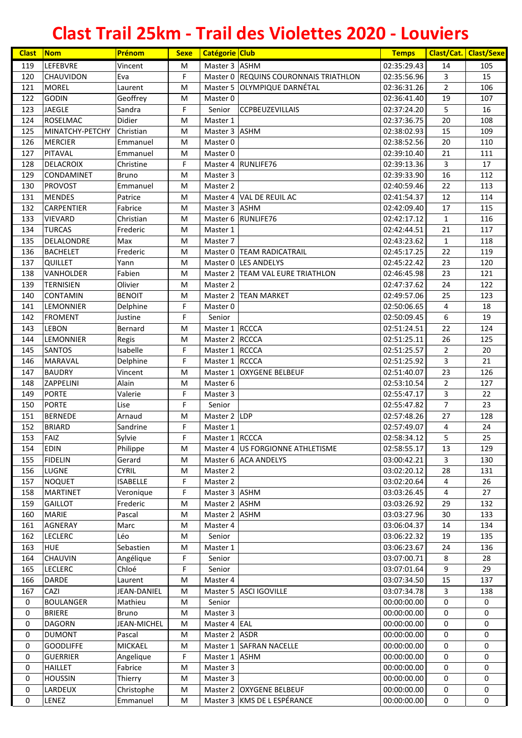| <b>Clast</b> | Nom                             | Prénom            | <b>Sexe</b> | <b>Catégorie Club</b>            |                                       | <b>Temps</b>               |                     | <b>Clast/Cat. Clast/Sexe</b> |
|--------------|---------------------------------|-------------------|-------------|----------------------------------|---------------------------------------|----------------------------|---------------------|------------------------------|
| 119          | <b>LEFEBVRE</b>                 | Vincent           | M           | Master 3 ASHM                    |                                       | 02:35:29.43                | 14                  | 105                          |
| 120          | CHAUVIDON                       | Eva               | F           |                                  | Master 0 REQUINS COURONNAIS TRIATHLON | 02:35:56.96                | 3                   | 15                           |
| 121          | <b>MOREL</b>                    | Laurent           | M           |                                  | Master 5 OLYMPIQUE DARNÉTAL           | 02:36:31.26                | $\overline{2}$      | 106                          |
| 122          | <b>GODIN</b>                    | Geoffrey          | M           | Master 0                         |                                       | 02:36:41.40                | 19                  | 107                          |
| 123          | <b>JAEGLE</b>                   | Sandra            | F           | Senior                           | <b>CCPBEUZEVILLAIS</b>                | 02:37:24.20                | 5                   | 16                           |
| 124          | <b>ROSELMAC</b>                 | Didier            | M           | Master 1                         |                                       | 02:37:36.75                | 20                  | 108                          |
| 125          | MINATCHY-PETCHY                 | Christian         | M           | Master 3 ASHM                    |                                       | 02:38:02.93                | 15                  | 109                          |
| 126          | <b>MERCIER</b>                  | Emmanuel          | м           | Master 0                         |                                       | 02:38:52.56                | 20                  | 110                          |
| 127          | <b>PITAVAL</b>                  | Emmanuel          | M           | Master 0                         |                                       | 02:39:10.40                | 21                  | 111                          |
| 128          | <b>DELACROIX</b>                | Christine         | F           |                                  | Master 4 RUNLIFE76                    | 02:39:13.36                | 3                   | 17                           |
| 129          | <b>CONDAMINET</b>               | <b>Bruno</b>      | M           | Master 3                         |                                       | 02:39:33.90                | 16                  | 112                          |
| 130          | <b>PROVOST</b>                  | Emmanuel          | M           | Master 2                         |                                       | 02:40:59.46                | 22                  | 113                          |
| 131          | <b>MENDES</b>                   | Patrice           | M           |                                  | Master 4 VAL DE REUIL AC              | 02:41:54.37                | 12                  | 114                          |
| 132          | <b>CARPENTIER</b>               | Fabrice           | M           | Master 3 ASHM                    |                                       | 02:42:09.40                | 17                  | 115                          |
| 133          | <b>VIEVARD</b>                  | Christian         | M           |                                  | Master 6 RUNLIFE76                    | 02:42:17.12                | $\mathbf{1}$        | 116                          |
| 134          | <b>TURCAS</b>                   | Frederic          | M           | Master 1                         |                                       | 02:42:44.51                | 21                  | 117                          |
| 135          | DELALONDRE                      | Max               | M           | Master 7                         |                                       | 02:43:23.62                | $\mathbf{1}$        | 118                          |
| 136          | <b>BACHELET</b>                 | Frederic          | M           |                                  | Master 0 TEAM RADICATRAIL             | 02:45:17.25                | 22                  | 119                          |
| 137          | <b>QUILLET</b>                  | Yann              | M           |                                  | Master 0 LES ANDELYS                  | 02:45:22.42                | 23                  | 120                          |
| 138          | <b>VANHOLDER</b>                | Fabien            | M           |                                  | Master 2  TEAM VAL EURE TRIATHLON     | 02:46:45.98                | 23                  | 121                          |
| 139          | <b>TERNISIEN</b>                | Olivier           | M           | Master 2                         |                                       | 02:47:37.62                | 24                  | 122                          |
| 140          | <b>CONTAMIN</b>                 | <b>BENOIT</b>     | M           |                                  | Master 2 TEAN MARKET                  | 02:49:57.06                | 25                  | 123                          |
| 141          | <b>LEMONNIER</b>                | Delphine          | F           | Master 0                         |                                       | 02:50:06.65                | 4                   | 18                           |
| 142          | <b>FROMENT</b>                  | Justine           | F           | Senior                           |                                       | 02:50:09.45                | 6                   | 19<br>124                    |
| 143          | <b>LEBON</b>                    | Bernard           | M           | Master 1 RCCCA                   |                                       | 02:51:24.51                | 22                  |                              |
| 144          | <b>LEMONNIER</b>                | Regis<br>Isabelle | M<br>F      | Master 2 RCCCA                   |                                       | 02:51:25.11                | 26                  | 125                          |
| 145<br>146   | <b>SANTOS</b><br><b>MARAVAL</b> | Delphine          | F           | Master 1 RCCCA<br>Master 1 RCCCA |                                       | 02:51:25.57<br>02:51:25.92 | $\overline{2}$<br>3 | 20<br>21                     |
| 147          | <b>BAUDRY</b>                   | Vincent           | M           |                                  | Master 1 OXYGENE BELBEUF              | 02:51:40.07                | 23                  | 126                          |
| 148          | <b>ZAPPELINI</b>                | Alain             | M           | Master 6                         |                                       | 02:53:10.54                | $\overline{2}$      | 127                          |
| 149          | <b>PORTE</b>                    | Valerie           | F           | Master 3                         |                                       | 02:55:47.17                | 3                   | 22                           |
| 150          | <b>PORTE</b>                    | Lise              | F           | Senior                           |                                       | 02:55:47.82                | $\overline{7}$      | 23                           |
| 151          | <b>BERNEDE</b>                  | Arnaud            | M           | Master 2 LDP                     |                                       | 02:57:48.26                | 27                  | 128                          |
| 152          | <b>BRIARD</b>                   | Sandrine          | F           | Master 1                         |                                       | 02:57:49.07                | 4                   | 24                           |
| 153          | FAIZ                            | Sylvie            | F           | Master 1 RCCCA                   |                                       | 02:58:34.12                | 5                   | 25                           |
| 154          | <b>EDIN</b>                     | Philippe          | М           |                                  | Master 4 US FORGIONNE ATHLETISME      | 02:58:55.17                | 13                  | 129                          |
| 155          | <b>FIDELIN</b>                  | Gerard            | M           |                                  | Master 6 ACA ANDELYS                  | 03:00:42.21                | 3                   | 130                          |
| 156          | LUGNE                           | <b>CYRIL</b>      | M           | Master 2                         |                                       | 03:02:20.12                | 28                  | 131                          |
| 157          | <b>NOQUET</b>                   | <b>ISABELLE</b>   | F           | Master 2                         |                                       | 03:02:20.64                | 4                   | 26                           |
| 158          | <b>MARTINET</b>                 | Veronique         | F           | Master 3 ASHM                    |                                       | 03:03:26.45                | 4                   | 27                           |
| 159          | <b>GAILLOT</b>                  | Frederic          | M           | Master 2 ASHM                    |                                       | 03:03:26.92                | 29                  | 132                          |
| 160          | <b>MARIE</b>                    | Pascal            | M           | Master 2 ASHM                    |                                       | 03:03:27.96                | 30                  | 133                          |
| 161          | <b>AGNERAY</b>                  | Marc              | М           | Master 4                         |                                       | 03:06:04.37                | 14                  | 134                          |
| 162          | <b>LECLERC</b>                  | Léo               | М           | Senior                           |                                       | 03:06:22.32                | 19                  | 135                          |
| 163          | <b>HUE</b>                      | Sebastien         | M           | Master 1                         |                                       | 03:06:23.67                | 24                  | 136                          |
| 164          | <b>CHAUVIN</b>                  | Angélique         | F           | Senior                           |                                       | 03:07:00.71                | 8                   | 28                           |
| 165          | <b>LECLERC</b>                  | Chloé             | F           | Senior                           |                                       | 03:07:01.64                | 9                   | 29                           |
| 166          | <b>DARDE</b>                    | Laurent           | М           | Master 4                         |                                       | 03:07:34.50                | 15                  | 137                          |
| 167          | CAZI                            | JEAN-DANIEL       | M           |                                  | Master 5 ASCI IGOVILLE                | 03:07:34.78                | 3                   | 138                          |
| 0            | <b>BOULANGER</b>                | Mathieu           | M           | Senior                           |                                       | 00:00:00.00                | 0                   | 0                            |
| 0            | <b>BRIERE</b>                   | <b>Bruno</b>      | M           | Master 3                         |                                       | 00:00:00.00                | 0                   | 0                            |
| $\mathsf 0$  | <b>DAGORN</b>                   | JEAN-MICHEL       | M           | Master 4 EAL                     |                                       | 00:00:00.00                | 0                   | 0                            |
| 0            | <b>DUMONT</b>                   | Pascal            | M           | Master 2 ASDR                    |                                       | 00:00:00.00                | 0                   | 0                            |
| 0            | <b>GOODLIFFE</b>                | MICKAEL           | M           |                                  | Master 1 SAFRAN NACELLE               | 00:00:00.00                | 0                   | 0                            |
| 0            | <b>GUERRIER</b>                 | Angelique         | F           | Master 1 ASHM                    |                                       | 00:00:00.00                | 0                   | 0                            |
| 0            | <b>HAILLET</b>                  | Fabrice           | М           | Master 3                         |                                       | 00:00:00.00                | 0                   | 0                            |
| 0            | <b>HOUSSIN</b>                  | Thierry           | M           | Master 3                         |                                       | 00:00:00.00                | 0                   | 0                            |
| 0            | LARDEUX                         | Christophe        | M           |                                  | Master 2 OXYGENE BELBEUF              | 00:00:00.00                | 0                   | 0                            |
| 0            | LENEZ                           | Emmanuel          | M           |                                  | Master 3 KMS DE L ESPÉRANCE           | 00:00:00.00                | 0                   | 0                            |